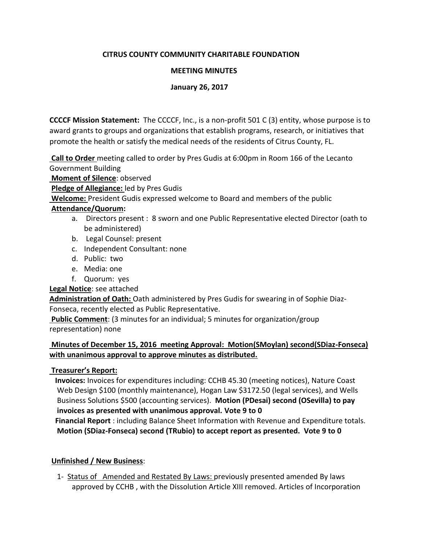### **CITRUS COUNTY COMMUNITY CHARITABLE FOUNDATION**

### **MEETING MINUTES**

### **January 26, 2017**

**CCCCF Mission Statement:** The CCCCF, Inc., is a non-profit 501 C (3) entity, whose purpose is to award grants to groups and organizations that establish programs, research, or initiatives that promote the health or satisfy the medical needs of the residents of Citrus County, FL.

**Call to Order** meeting called to order by Pres Gudis at 6:00pm in Room 166 of the Lecanto Government Building

**Moment of Silence**: observed

**Pledge of Allegiance:** led by Pres Gudis

**Welcome:** President Gudis expressed welcome to Board and members of the public

### **Attendance/Quorum:**

- a. Directors present : 8 sworn and one Public Representative elected Director (oath to be administered)
- b. Legal Counsel: present
- c. Independent Consultant: none
- d. Public: two
- e. Media: one
- f. Quorum: yes

# **Legal Notice**: see attached

**Administration of Oath:** Oath administered by Pres Gudis for swearing in of Sophie Diaz-Fonseca, recently elected as Public Representative.

**Public Comment**: (3 minutes for an individual; 5 minutes for organization/group representation) none

# **Minutes of December 15, 2016 meeting Approval: Motion(SMoylan) second(SDiaz-Fonseca) with unanimous approval to approve minutes as distributed.**

# **Treasurer's Report:**

 **Invoices:** Invoices for expenditures including: CCHB 45.30 (meeting notices), Nature Coast Web Design \$100 (monthly maintenance), Hogan Law \$3172.50 (legal services), and Wells Business Solutions \$500 (accounting services). **Motion (PDesai) second (OSevilla) to pay invoices as presented with unanimous approval. Vote 9 to 0**

 **Financial Report** : including Balance Sheet Information with Revenue and Expenditure totals. **Motion (SDiaz-Fonseca) second (TRubio) to accept report as presented. Vote 9 to 0**

# **Unfinished / New Business**:

 1- Status of Amended and Restated By Laws: previously presented amended By laws approved by CCHB , with the Dissolution Article XIII removed. Articles of Incorporation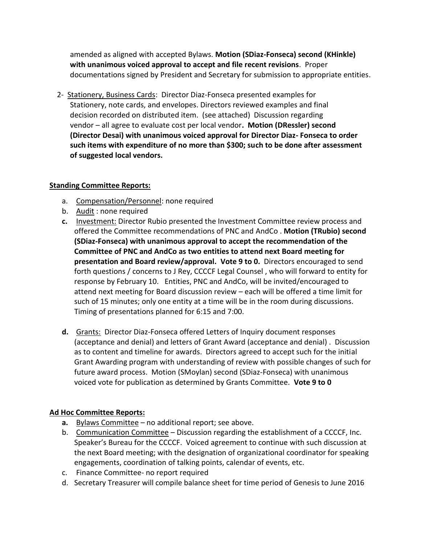amended as aligned with accepted Bylaws. **Motion (SDiaz-Fonseca) second (KHinkle) with unanimous voiced approval to accept and file recent revisions**. Proper documentations signed by President and Secretary for submission to appropriate entities.

 2- Stationery, Business Cards: Director Diaz-Fonseca presented examples for Stationery, note cards, and envelopes. Directors reviewed examples and final decision recorded on distributed item. (see attached) Discussion regarding vendor – all agree to evaluate cost per local vendor**. Motion (DRessler) second (Director Desai) with unanimous voiced approval for Director Diaz- Fonseca to order such items with expenditure of no more than \$300; such to be done after assessment of suggested local vendors.**

#### **Standing Committee Reports:**

- a. Compensation/Personnel: none required
- b. Audit : none required
- **c.** Investment: Director Rubio presented the Investment Committee review process and offered the Committee recommendations of PNC and AndCo . **Motion (TRubio) second (SDiaz-Fonseca) with unanimous approval to accept the recommendation of the Committee of PNC and AndCo as two entities to attend next Board meeting for presentation and Board review/approval. Vote 9 to 0.** Directors encouraged to send forth questions / concerns to J Rey, CCCCF Legal Counsel , who will forward to entity for response by February 10.Entities, PNC and AndCo, will be invited/encouraged to attend next meeting for Board discussion review – each will be offered a time limit for such of 15 minutes; only one entity at a time will be in the room during discussions. Timing of presentations planned for 6:15 and 7:00.
- **d.** Grants: Director Diaz-Fonseca offered Letters of Inquiry document responses (acceptance and denial) and letters of Grant Award (acceptance and denial) . Discussion as to content and timeline for awards. Directors agreed to accept such for the initial Grant Awarding program with understanding of review with possible changes of such for future award process. Motion (SMoylan) second (SDiaz-Fonseca) with unanimous voiced vote for publication as determined by Grants Committee. **Vote 9 to 0**

### **Ad Hoc Committee Reports:**

- **a.** Bylaws Committee no additional report; see above.
- b. Communication Committee Discussion regarding the establishment of a CCCCF, Inc. Speaker's Bureau for the CCCCF. Voiced agreement to continue with such discussion at the next Board meeting; with the designation of organizational coordinator for speaking engagements, coordination of talking points, calendar of events, etc.
- c. Finance Committee- no report required
- d. Secretary Treasurer will compile balance sheet for time period of Genesis to June 2016